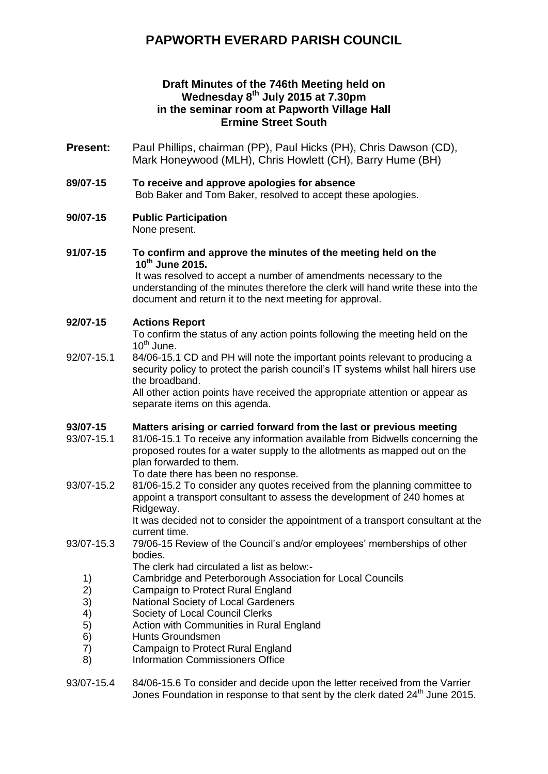# **PAPWORTH EVERARD PARISH COUNCIL**

# **Draft Minutes of the 746th Meeting held on Wednesday 8 th July 2015 at 7.30pm in the seminar room at Papworth Village Hall Ermine Street South**

- **Present:** Paul Phillips, chairman (PP), Paul Hicks (PH), Chris Dawson (CD), Mark Honeywood (MLH), Chris Howlett (CH), Barry Hume (BH)
- **89/07-15 To receive and approve apologies for absence** Bob Baker and Tom Baker, resolved to accept these apologies.

```
90/07-15 Public Participation
```
None present.

#### **91/07-15 To confirm and approve the minutes of the meeting held on the 10th June 2015.**

It was resolved to accept a number of amendments necessary to the understanding of the minutes therefore the clerk will hand write these into the document and return it to the next meeting for approval.

# **92/07-15 Actions Report**

To confirm the status of any action points following the meeting held on the  $10^{th}$  June.

92/07-15.1 84/06-15.1 CD and PH will note the important points relevant to producing a security policy to protect the parish council's IT systems whilst hall hirers use the broadband.

All other action points have received the appropriate attention or appear as separate items on this agenda.

### **93/07-15 Matters arising or carried forward from the last or previous meeting**

93/07-15.1 81/06-15.1 To receive any information available from Bidwells concerning the proposed routes for a water supply to the allotments as mapped out on the plan forwarded to them.

To date there has been no response.

93/07-15.2 81/06-15.2 To consider any quotes received from the planning committee to appoint a transport consultant to assess the development of 240 homes at Ridgeway.

It was decided not to consider the appointment of a transport consultant at the current time.

- 93/07-15.3 79/06-15 Review of the Council's and/or employees' memberships of other bodies.
	- The clerk had circulated a list as below:-
	- 1) Cambridge and Peterborough Association for Local Councils
	- 2) Campaign to Protect Rural England
	- 3) National Society of Local Gardeners
	- 4) Society of Local Council Clerks
	- 5) Action with Communities in Rural England
	- 6) Hunts Groundsmen
	- 7) Campaign to Protect Rural England
	- 8) Information Commissioners Office
- 93/07-15.4 84/06-15.6 To consider and decide upon the letter received from the Varrier Jones Foundation in response to that sent by the clerk dated 24<sup>th</sup> June 2015.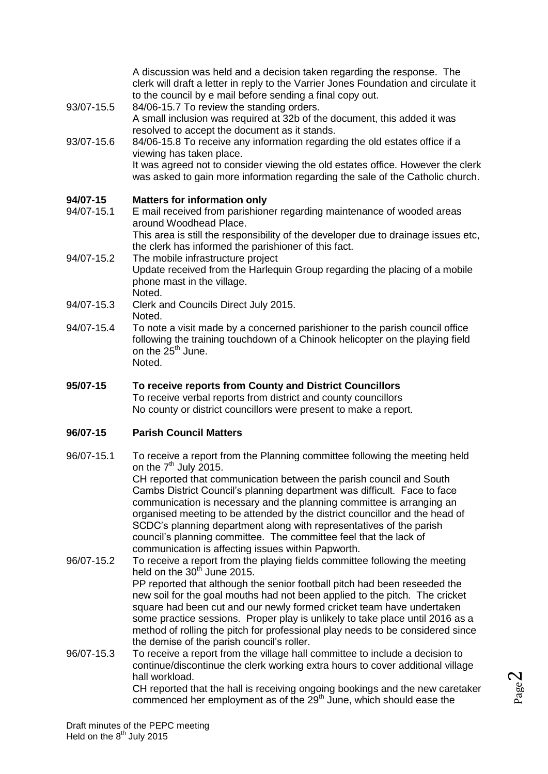A discussion was held and a decision taken regarding the response. The clerk will draft a letter in reply to the Varrier Jones Foundation and circulate it to the council by e mail before sending a final copy out.

- 93/07-15.5 84/06-15.7 To review the standing orders. A small inclusion was required at 32b of the document, this added it was resolved to accept the document as it stands.
- 93/07-15.6 84/06-15.8 To receive any information regarding the old estates office if a viewing has taken place. It was agreed not to consider viewing the old estates office. However the clerk was asked to gain more information regarding the sale of the Catholic church.

# **94/07-15 Matters for information only**

- 94/07-15.1 E mail received from parishioner regarding maintenance of wooded areas around Woodhead Place. This area is still the responsibility of the developer due to drainage issues etc, the clerk has informed the parishioner of this fact.
- 94/07-15.2 The mobile infrastructure project Update received from the Harlequin Group regarding the placing of a mobile phone mast in the village. Noted.
- 94/07-15.3 Clerk and Councils Direct July 2015. Noted.
- 94/07-15.4 To note a visit made by a concerned parishioner to the parish council office following the training touchdown of a Chinook helicopter on the playing field on the  $25<sup>th</sup>$  June. Noted.
- **95/07-15 To receive reports from County and District Councillors** To receive verbal reports from district and county councillors No county or district councillors were present to make a report.

### **96/07-15 Parish Council Matters**

96/07-15.1 To receive a report from the Planning committee following the meeting held on the  $7<sup>th</sup>$  July 2015.

CH reported that communication between the parish council and South Cambs District Council's planning department was difficult. Face to face communication is necessary and the planning committee is arranging an organised meeting to be attended by the district councillor and the head of SCDC's planning department along with representatives of the parish council's planning committee. The committee feel that the lack of communication is affecting issues within Papworth.

- 96/07-15.2 To receive a report from the playing fields committee following the meeting held on the  $30<sup>th</sup>$  June 2015. PP reported that although the senior football pitch had been reseeded the new soil for the goal mouths had not been applied to the pitch. The cricket square had been cut and our newly formed cricket team have undertaken some practice sessions. Proper play is unlikely to take place until 2016 as a method of rolling the pitch for professional play needs to be considered since the demise of the parish council's roller.
- 96/07-15.3 To receive a report from the village hall committee to include a decision to continue/discontinue the clerk working extra hours to cover additional village hall workload. CH reported that the hall is receiving ongoing bookings and the new caretaker

commenced her employment as of the 29<sup>th</sup> June, which should ease the

Page  $\boldsymbol{\sim}$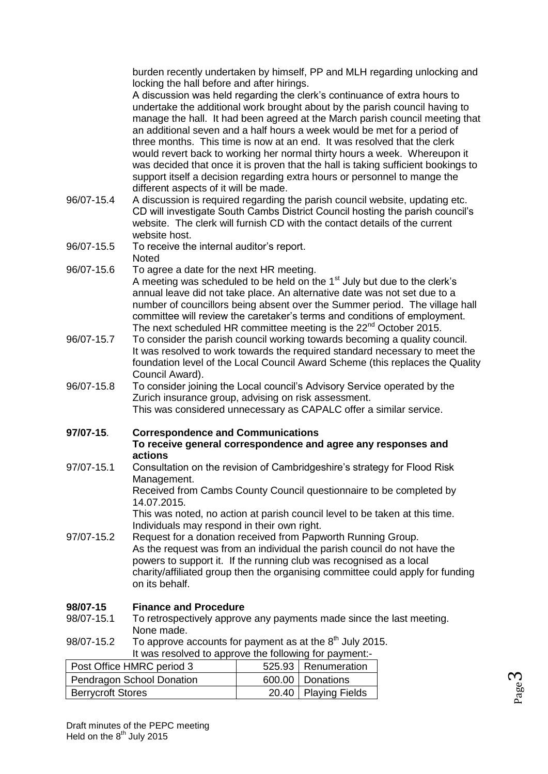burden recently undertaken by himself, PP and MLH regarding unlocking and locking the hall before and after hirings.

A discussion was held regarding the clerk's continuance of extra hours to undertake the additional work brought about by the parish council having to manage the hall. It had been agreed at the March parish council meeting that an additional seven and a half hours a week would be met for a period of three months. This time is now at an end. It was resolved that the clerk would revert back to working her normal thirty hours a week. Whereupon it was decided that once it is proven that the hall is taking sufficient bookings to support itself a decision regarding extra hours or personnel to mange the different aspects of it will be made.

- 96/07-15.4 A discussion is required regarding the parish council website, updating etc. CD will investigate South Cambs District Council hosting the parish council's website. The clerk will furnish CD with the contact details of the current website host.
- 96/07-15.5 To receive the internal auditor's report. **Noted**
- 96/07-15.6 To agree a date for the next HR meeting. A meeting was scheduled to be held on the  $1<sup>st</sup>$  July but due to the clerk's annual leave did not take place. An alternative date was not set due to a number of councillors being absent over the Summer period. The village hall committee will review the caretaker's terms and conditions of employment. The next scheduled HR committee meeting is the 22<sup>nd</sup> October 2015.
- 96/07-15.7 To consider the parish council working towards becoming a quality council. It was resolved to work towards the required standard necessary to meet the foundation level of the Local Council Award Scheme (this replaces the Quality Council Award).
- 96/07-15.8 To consider joining the Local council's Advisory Service operated by the Zurich insurance group, advising on risk assessment. This was considered unnecessary as CAPALC offer a similar service.

### **97/07-15**. **Correspondence and Communications**

#### **To receive general correspondence and agree any responses and actions**

97/07-15.1 Consultation on the revision of Cambridgeshire's strategy for Flood Risk Management.

Received from Cambs County Council questionnaire to be completed by 14.07.2015.

This was noted, no action at parish council level to be taken at this time. Individuals may respond in their own right.

97/07-15.2 Request for a donation received from Papworth Running Group. As the request was from an individual the parish council do not have the powers to support it. If the running club was recognised as a local charity/affiliated group then the organising committee could apply for funding on its behalf.

### **98/07-15 Finance and Procedure**

- 98/07-15.1 To retrospectively approve any payments made since the last meeting. None made.
- 98/07-15.2 To approve accounts for payment as at the  $8<sup>th</sup>$  July 2015.

| It was resolved to approve the following for payment:- |  |                        |
|--------------------------------------------------------|--|------------------------|
| Post Office HMRC period 3                              |  | 525.93   Renumeration  |
| Pendragon School Donation                              |  | 600.00 Donations       |
| <b>Berrycroft Stores</b>                               |  | 20.40   Playing Fields |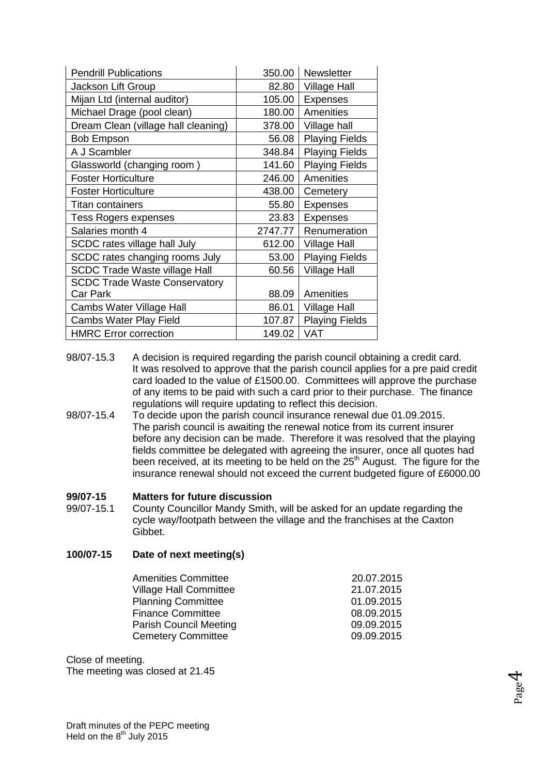| <b>Pendrill Publications</b>         | 350.00  | <b>Newsletter</b>     |
|--------------------------------------|---------|-----------------------|
| Jackson Lift Group                   | 82.80   | <b>Village Hall</b>   |
| Mijan Ltd (internal auditor)         | 105.00  | <b>Expenses</b>       |
| Michael Drage (pool clean)           | 180.00  | Amenities             |
| Dream Clean (village hall cleaning)  | 378.00  | Village hall          |
| <b>Bob Empson</b>                    | 56.08   | <b>Playing Fields</b> |
| A J Scambler                         | 348.84  | <b>Playing Fields</b> |
| Glassworld (changing room)           | 141.60  | <b>Playing Fields</b> |
| <b>Foster Horticulture</b>           | 246.00  | Amenities             |
| <b>Foster Horticulture</b>           | 438.00  | Cemetery              |
| <b>Titan containers</b>              | 55.80   | <b>Expenses</b>       |
| <b>Tess Rogers expenses</b>          | 23.83   | <b>Expenses</b>       |
| Salaries month 4                     | 2747.77 | Renumeration          |
| SCDC rates village hall July         | 612.00  | <b>Village Hall</b>   |
| SCDC rates changing rooms July       | 53.00   | <b>Playing Fields</b> |
| <b>SCDC Trade Waste village Hall</b> | 60.56   | <b>Village Hall</b>   |
| <b>SCDC Trade Waste Conservatory</b> |         |                       |
| <b>Car Park</b>                      | 88.09   | Amenities             |
| Cambs Water Village Hall             | 86.01   | <b>Village Hall</b>   |
| Cambs Water Play Field               | 107.87  | <b>Playing Fields</b> |
| <b>HMRC Error correction</b>         | 149.02  | VAT                   |

- 98/07-15.3 A decision is required regarding the parish council obtaining a credit card. It was resolved to approve that the parish council applies for a pre paid credit card loaded to the value of £1500.00. Committees will approve the purchase of any items to be paid with such a card prior to their purchase. The finance regulations will require updating to reflect this decision.
- 98/07-15.4 To decide upon the parish council insurance renewal due 01.09.2015. The parish council is awaiting the renewal notice from its current insurer before any decision can be made. Therefore it was resolved that the playing fields committee be delegated with agreeing the insurer, once all quotes had been received, at its meeting to be held on the 25<sup>th</sup> August. The figure for the insurance renewal should not exceed the current budgeted figure of £6000.00

#### **99/07-15 Matters for future discussion**

99/07-15.1 County Councillor Mandy Smith, will be asked for an update regarding the cycle way/footpath between the village and the franchises at the Caxton Gibbet.

#### **100/07-15 Date of next meeting(s)**

| 20.07.2015 |
|------------|
| 21.07.2015 |
| 01.09.2015 |
| 08.09.2015 |
| 09.09.2015 |
| 09.09.2015 |
|            |

Close of meeting.

The meeting was closed at 21.45

$$
_{\rm Page}4
$$